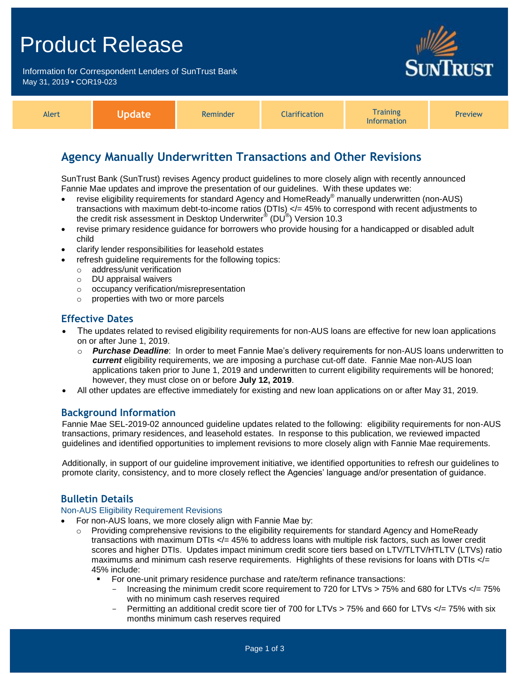## Product Release

Information for Correspondent Lenders of SunTrust Bank May 31, 2019 **•** COR19-023



| <b>Alert</b> | ava arra<br>. | Reminder | <b>Tarification</b> | <b>Training</b><br><b>Information</b> | <b>Preview</b> |
|--------------|---------------|----------|---------------------|---------------------------------------|----------------|
|--------------|---------------|----------|---------------------|---------------------------------------|----------------|

## **Agency Manually Underwritten Transactions and Other Revisions**

SunTrust Bank (SunTrust) revises Agency product guidelines to more closely align with recently announced Fannie Mae updates and improve the presentation of our guidelines. With these updates we:

- revise eligibility requirements for standard Agency and HomeReady<sup>®</sup> manually underwritten (non-AUS) transactions with maximum debt-to-income ratios (DTIs) </= 45% to correspond with recent adjustments to the credit risk assessment in Desktop Underwriter $^{\circledR}$  (DU $^{\circledR})$  Version 10.3
- revise primary residence guidance for borrowers who provide housing for a handicapped or disabled adult child
- clarify lender responsibilities for leasehold estates
- refresh guideline requirements for the following topics:
	- o address/unit verification
	- o DU appraisal waivers
	- o occupancy verification/misrepresentation
	- o properties with two or more parcels

## **Effective Dates**

- The updates related to revised eligibility requirements for non-AUS loans are effective for new loan applications on or after June 1, 2019.
	- o *Purchase Deadline*: In order to meet Fannie Mae's delivery requirements for non-AUS loans underwritten to *current* eligibility requirements, we are imposing a purchase cut-off date. Fannie Mae non-AUS loan applications taken prior to June 1, 2019 and underwritten to current eligibility requirements will be honored; however, they must close on or before **July 12, 2019**.
- All other updates are effective immediately for existing and new loan applications on or after May 31, 2019.

### **Background Information**

Fannie Mae SEL-2019-02 announced guideline updates related to the following: eligibility requirements for non-AUS transactions, primary residences, and leasehold estates. In response to this publication, we reviewed impacted guidelines and identified opportunities to implement revisions to more closely align with Fannie Mae requirements.

Additionally, in support of our guideline improvement initiative, we identified opportunities to refresh our guidelines to promote clarity, consistency, and to more closely reflect the Agencies' language and/or presentation of guidance.

### **Bulletin Details**

#### Non-AUS Eligibility Requirement Revisions

- For non-AUS loans, we more closely align with Fannie Mae by:
	- o Providing comprehensive revisions to the eligibility requirements for standard Agency and HomeReady transactions with maximum DTIs </= 45% to address loans with multiple risk factors, such as lower credit scores and higher DTIs. Updates impact minimum credit score tiers based on LTV/TLTV/HTLTV (LTVs) ratio maximums and minimum cash reserve requirements. Highlights of these revisions for loans with DTIs </= 45% include:
		- For one-unit primary residence purchase and rate/term refinance transactions:
			- Increasing the minimum credit score requirement to 720 for LTVs > 75% and 680 for LTVs </= 75% with no minimum cash reserves required
			- Permitting an additional credit score tier of 700 for LTVs > 75% and 660 for LTVs </= 75% with six months minimum cash reserves required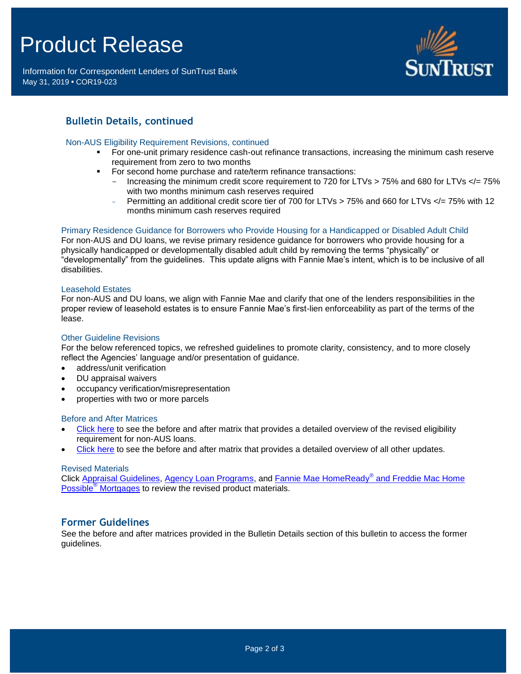# Product Release

Information for Correspondent Lenders of SunTrust Bank May 31, 2019 **•** COR19-023



## **Bulletin Details, continued**

#### Non-AUS Eligibility Requirement Revisions, continued

- For one-unit primary residence cash-out refinance transactions, increasing the minimum cash reserve requirement from zero to two months
- For second home purchase and rate/term refinance transactions:
	- Increasing the minimum credit score requirement to 720 for LTVs > 75% and 680 for LTVs </= 75% with two months minimum cash reserves required
	- Permitting an additional credit score tier of 700 for LTVs > 75% and 660 for LTVs </= 75% with 12 months minimum cash reserves required

#### Primary Residence Guidance for Borrowers who Provide Housing for a Handicapped or Disabled Adult Child

For non-AUS and DU loans, we revise primary residence guidance for borrowers who provide housing for a physically handicapped or developmentally disabled adult child by removing the terms "physically" or "developmentally" from the guidelines. This update aligns with Fannie Mae's intent, which is to be inclusive of all disabilities.

#### Leasehold Estates

For non-AUS and DU loans, we align with Fannie Mae and clarify that one of the lenders responsibilities in the proper review of leasehold estates is to ensure Fannie Mae's first-lien enforceability as part of the terms of the lease.

#### Other Guideline Revisions

For the below referenced topics, we refreshed guidelines to promote clarity, consistency, and to more closely reflect the Agencies' language and/or presentation of guidance.

- address/unit verification
- DU appraisal waivers
- occupancy verification/misrepresentation
- properties with two or more parcels

#### Before and After Matrices

- [Click here](http://www.truistsellerguide.com/manual/cor/products/Cr19-023BANew.pdf) to see the before and after matrix that provides a detailed overview of the revised eligibility requirement for non-AUS loans.
- [Click here](http://www.truistsellerguide.com/manual/cor/products/Cr19-023BAExistandNew.pdf) to see the before and after matrix that provides a detailed overview of all other updates.

#### Revised Materials

Click [Appraisal Guidelines,](https://www.truistsellerguide.com/Manual/cor/general/1.07Appraisals.pdf) [Agency Loan Programs,](https://www.truistsellerguide.com/manual/cor/products/CAgency.pdf) and [Fannie Mae HomeReady](https://www.truistsellerguide.com/Manual/cor/products/CHomeReadyandHomePossible.pdf)® and Freddie Mac Home Possible® [Mortgages](https://www.truistsellerguide.com/Manual/cor/products/CHomeReadyandHomePossible.pdf) to review the revised product materials.

#### **Former Guidelines**

See the before and after matrices provided in the Bulletin Details section of this bulletin to access the former guidelines.